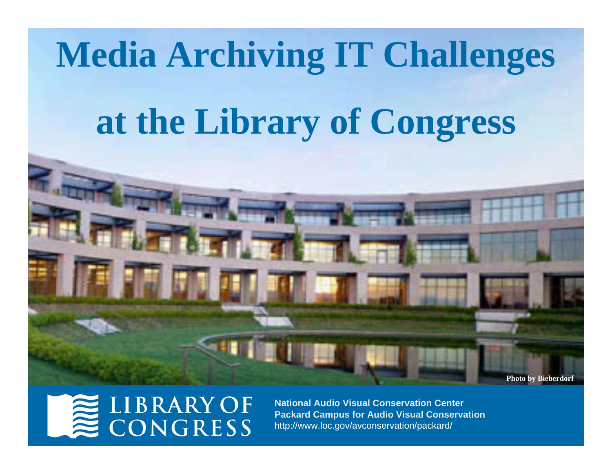

### **LIBRARY OF** CONGRESS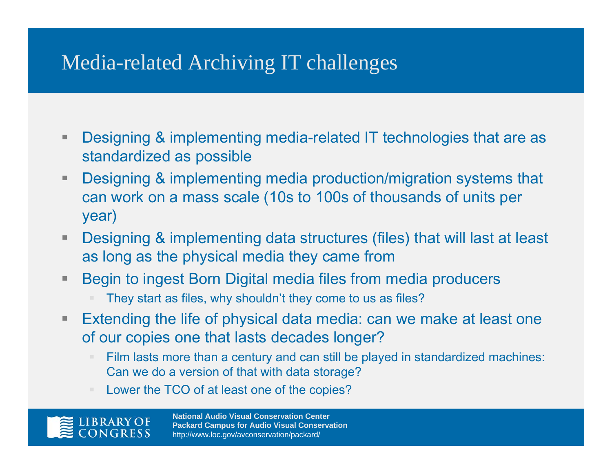### Media-related Archiving IT challenges

- $\Box$  Designing & implementing media-related IT technologies that are as standardized as possible
- $\blacksquare$  Designing & implementing media production/migration systems that can work on a mass scale (10s to 100s of thousands of units per year)
- $\blacksquare$  Designing & implementing data structures (files) that will last at least as long as the physical media they came from
- h. Begin to ingest Born Digital media files from media producers
	- They start as files, why shouldn't they come to us as files?
- $\blacksquare$  Extending the life of physical data media: can we make at least one of our copies one that lasts decades longer?
	- Film lasts more than a century and can still be played in standardized machines: Can we do a version of that with data storage?
	- Lower the TCO of at least one of the copies?

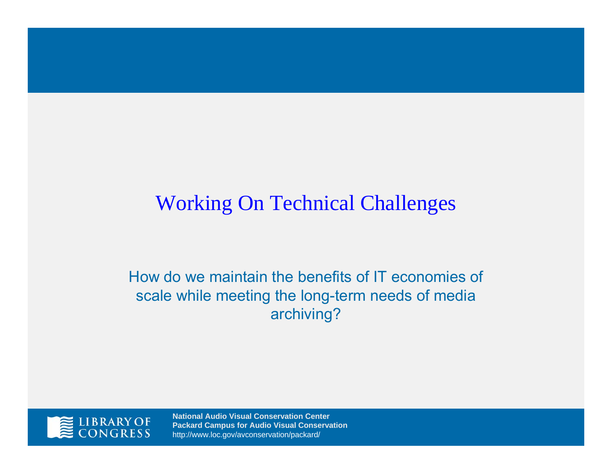### Working On Technical Challenges

How do we maintain the benefits of IT economies of scale while meeting the long-term needs of media archiving?

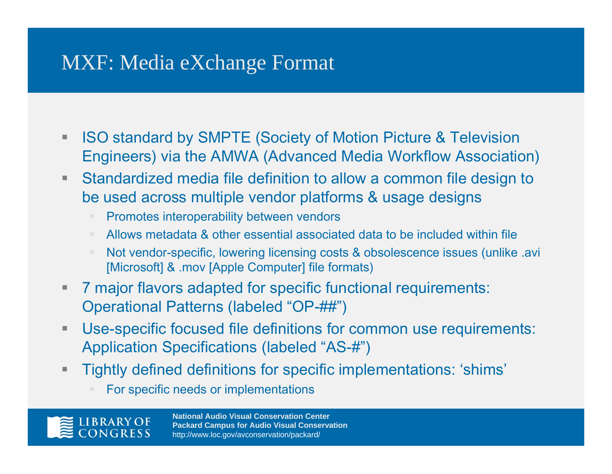### MXF: Media eXchange Format

- $\blacksquare$  ISO standard by SMPTE (Society of Motion Picture & Television Engineers) via the AMWA (Advanced Media Workflow Association)
- $\blacksquare$  Standardized media file definition to allow a common file design to be used across multiple vendor platforms & usage designs
	- Promotes interoperability between vendors
	- Allows metadata & other essential associated data to be included within file
	- Not vendor-specific, lowering licensing costs & obsolescence issues (unlike .avi [Microsoft] & .mov [Apple Computer] file formats)
- $\blacksquare$  . 7 major flavors adapted for specific functional requirements: Operational Patterns (labeled "OP-##")
- $\blacksquare$  Use-specific focused file definitions for common use requirements: Application Specifications (labeled "AS-#")
- $\blacksquare$  Tightly defined definitions for specific implementations: 'shims'
	- For specific needs or implementations

**IBRARY OF**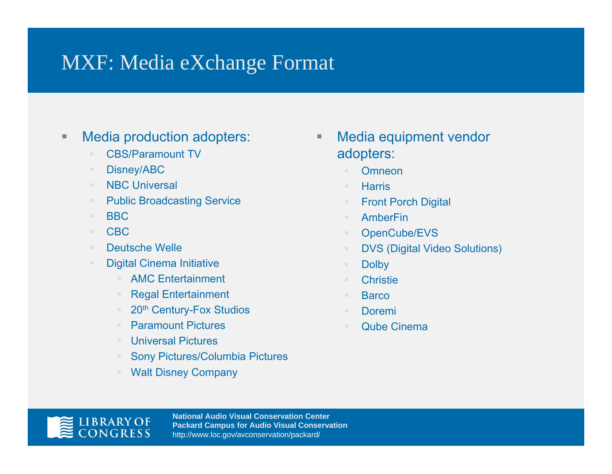### MXF: Media eXchange Format

#### $\blacksquare$ Media production adopters:

- CBS/Paramount TV
- $\mathbb{R}^n$ Disney/ABC
- m. NBC Universal
- $\mathbb{R}^n$  . Public Broadcasting Service
- $\mathbb{R}^n$  . BBC
- $\mathbb{R}^n$  . CBC
- $\mathbb{R}^n$ Deutsche Welle
- Digital Cinema Initiative
	- $\mathcal{L}_{\mathcal{A}}$ AMC Entertainment
	- $\equiv$ Regal Entertainment
	- $\sim$ 20<sup>th</sup> Century-Fox Studios
	- $\mathcal{H}^{\pm}$ Paramount Pictures
	- Universal Pictures
	- $\mathcal{L}_{\mathcal{A}}$ Sony Pictures/Columbia Pictures
	- $\equiv$ Walt Disney Company
- $\blacksquare$  Media equipment vendor adopters:
	- **Omneon**
	- $\mathbb{R}^2$ **Harris**
	- $\mathbb{R}^n$ Front Porch Digital
	- $\sim$ AmberFin
	- $\mathbb{R}^n$ OpenCube/EVS
	- DVS (Digital Video Solutions)
	- $\equiv$ **Dolby**
	- **Christie**
	- $\mathbb{R}^n$ **Barco**
	- $\mathcal{H}^{\pm}$ Doremi
	- $\mathcal{L}_{\mathcal{A}}$ Qube Cinema

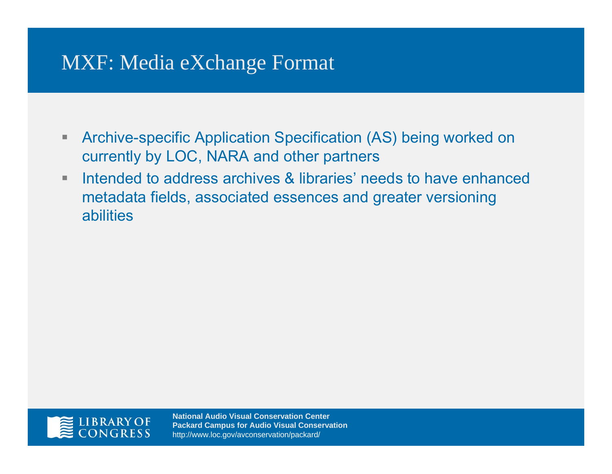### MXF: Media eXchange Format

- $\blacksquare$  Archive-specific Application Specification (AS) being worked on currently by LOC, NARA and other partners
- $\blacksquare$  Intended to address archives & libraries' needs to have enhanced metadata fields, associated essences and greater versioning abilities

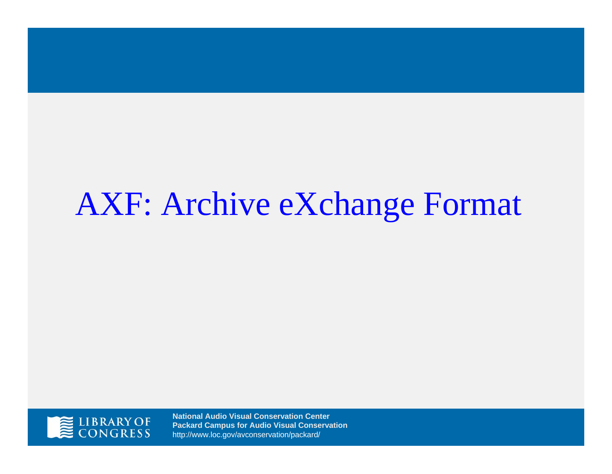# AXF: Archive eXchange Format

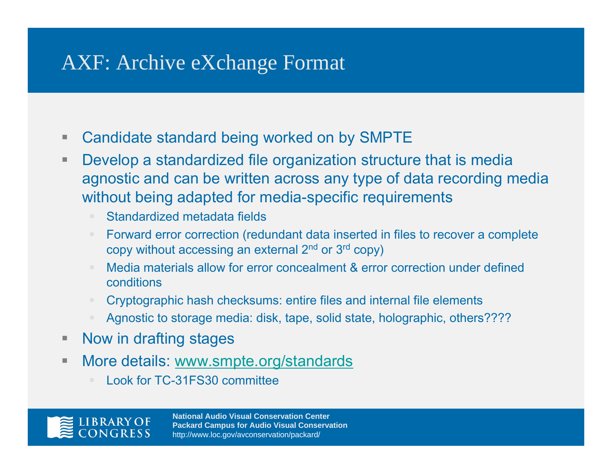### AXF: Archive eXchange Format

- $\overline{\phantom{a}}$ Candidate standard being worked on by SMPTE
- п. Develop a standardized file organization structure that is media agnostic and can be written across any type of data recording media without being adapted for media-specific requirements
	- Standardized metadata fields
	- Forward error correction (redundant data inserted in files to recover a complete copy without accessing an external 2nd or 3r<sup>d</sup> copy)
	- Media materials allow for error concealment & error correction under defined conditions
	- Cryptographic hash checksums: entire files and internal file elements
	- Agnostic to storage media: disk, tape, solid state, holographic, others????
- $\blacksquare$ Now in drafting stages
- $\blacksquare$  More details: www.smpte.org/standards
	- Look for TC-31FS30 committee

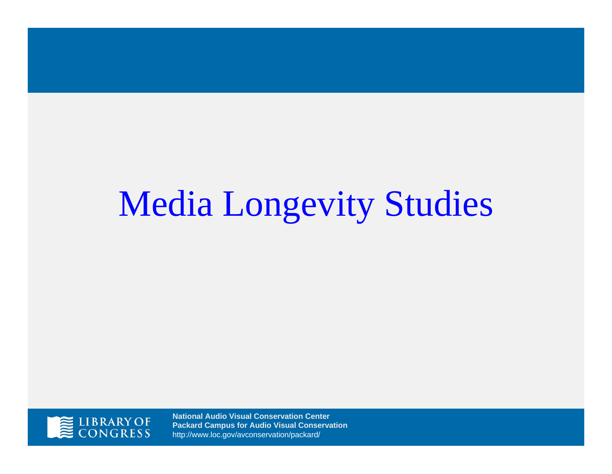# Media Longevity Studies

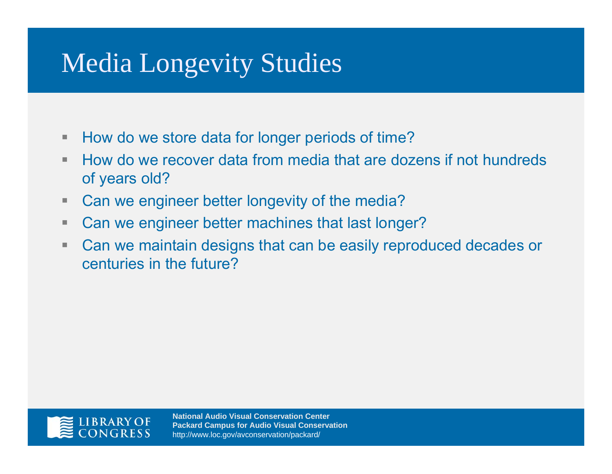## Media Longevity Studies

- $\blacksquare$  . How do we store data for longer periods of time?
- m. How do we recover data from media that are dozens if not hundreds of years old?
- $\blacksquare$ Can we engineer better longevity of the media?
- $\blacksquare$ Can we engineer better machines that last longer?
- $\blacksquare$  Can we maintain designs that can be easily reproduced decades or centuries in the future?

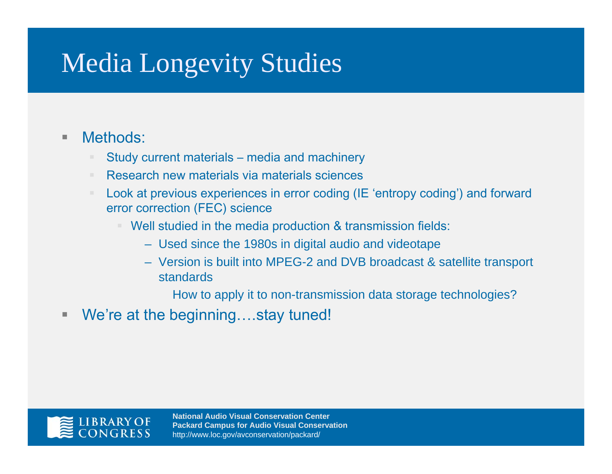## Media Longevity Studies

#### $\blacksquare$ Methods:

- Study current materials media and machinery
- Research new materials via materials sciences
- Look at previous experiences in error coding (IE 'entropy coding') and forward error correction (FEC) science
	- ш Well studied in the media production & transmission fields:
		- Used since the 1980s in digital audio and videotape
		- Version is built into MPEG-2 and DVB broadcast & satellite transport standards

How to apply it to non-transmission data storage technologies?

 $\blacksquare$ We're at the beginning....stay tuned!

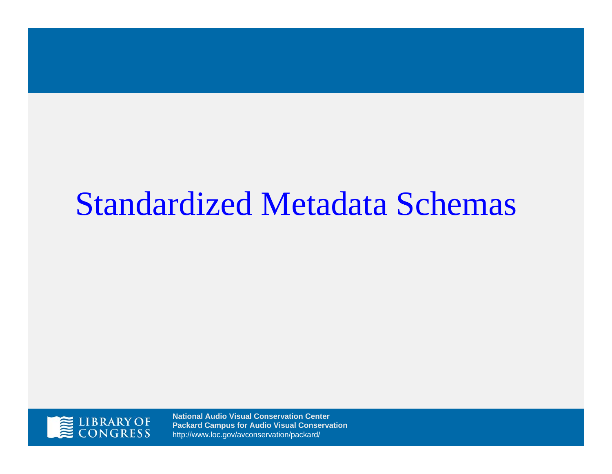# Standardized Metadata Schemas

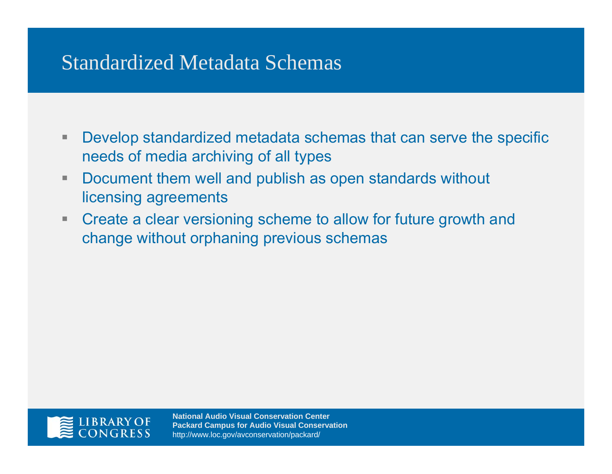### Standardized Metadata Schemas

- $\Box$  Develop standardized metadata schemas that can serve the specific needs of media archiving of all types
- $\blacksquare$  Document them well and publish as open standards without licensing agreements
- $\blacksquare$  Create a clear versioning scheme to allow for future growth and change without orphaning previous schemas